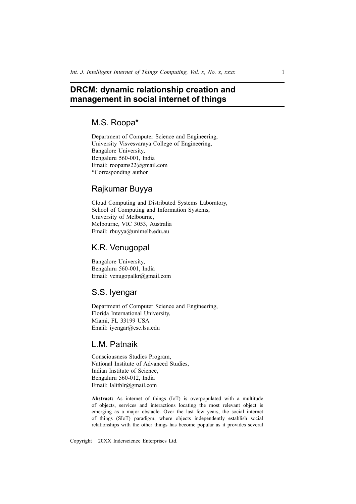# **DRCM: dynamic relationship creation and management in social internet of things**

# M.S. Roopa\*

Department of Computer Science and Engineering, University Visvesvaraya College of Engineering, Bangalore University, Bengaluru 560-001, India Email: roopams22@gmail.com \*Corresponding author

# Rajkumar Buyya

Cloud Computing and Distributed Systems Laboratory, School of Computing and Information Systems, University of Melbourne, Melbourne, VIC 3053, Australia Email: rbuyya@unimelb.edu.au

# K.R. Venugopal

Bangalore University, Bengaluru 560-001, India Email: venugopalkr@gmail.com

# S.S. Iyengar

Department of Computer Science and Engineering, Florida International University, Miami, FL 33199 USA Email: iyengar@csc.lsu.edu

# L.M. Patnaik

Consciousness Studies Program, National Institute of Advanced Studies, Indian Institute of Science, Bengaluru 560-012, India Email: lalitblr@gmail.com

**Abstract:** As internet of things (IoT) is overpopulated with a multitude of objects, services and interactions locating the most relevant object is emerging as a major obstacle. Over the last few years, the social internet of things (SIoT) paradigm, where objects independently establish social relationships with the other things has become popular as it provides several

Copyright 20XX Inderscience Enterprises Ltd.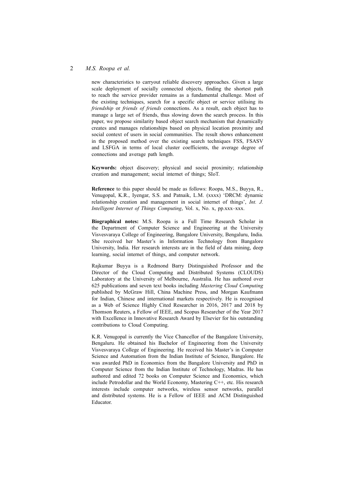new characteristics to carryout reliable discovery approaches. Given a large scale deployment of socially connected objects, finding the shortest path to reach the service provider remains as a fundamental challenge. Most of the existing techniques, search for a specific object or service utilising its *friendship* or *friends of friends* connections. As a result, each object has to manage a large set of friends, thus slowing down the search process. In this paper, we propose similarity based object search mechanism that dynamically creates and manages relationships based on physical location proximity and social context of users in social communities. The result shows enhancement in the proposed method over the existing search techniques FSS, FSASV and LSFGA in terms of local cluster coefficients, the average degree of connections and average path length.

**Keywords:** object discovery; physical and social proximity; relationship creation and management; social internet of things; SIoT.

**Reference** to this paper should be made as follows: Roopa, M.S., Buyya, R., Venugopal, K.R., Iyengar, S.S. and Patnaik, L.M. (xxxx) 'DRCM: dynamic relationship creation and management in social internet of things', *Int. J. Intelligent Internet of Things Computing*, Vol. x, No. x, pp.xxx–xxx.

**Biographical notes:** M.S. Roopa is a Full Time Research Scholar in the Department of Computer Science and Engineering at the University Visvesvaraya College of Engineering, Bangalore University, Bengaluru, India. She received her Master's in Information Technology from Bangalore University, India. Her research interests are in the field of data mining, deep learning, social internet of things, and computer network.

Rajkumar Buyya is a Redmond Barry Distinguished Professor and the Director of the Cloud Computing and Distributed Systems (CLOUDS) Laboratory at the University of Melbourne, Australia. He has authored over 625 publications and seven text books including *Mastering Cloud Computing* published by McGraw Hill, China Machine Press, and Morgan Kaufmann for Indian, Chinese and international markets respectively. He is recognised as a Web of Science Highly Cited Researcher in 2016, 2017 and 2018 by Thomson Reuters, a Fellow of IEEE, and Scopus Researcher of the Year 2017 with Excellence in Innovative Research Award by Elsevier for his outstanding contributions to Cloud Computing.

K.R. Venugopal is currently the Vice Chancellor of the Bangalore University, Bengaluru. He obtained his Bachelor of Engineering from the University Visvesvaraya College of Engineering. He received his Master's in Computer Science and Automation from the Indian Institute of Science, Bangalore. He was awarded PhD in Economics from the Bangalore University and PhD in Computer Science from the Indian Institute of Technology, Madras. He has authored and edited 72 books on Computer Science and Economics, which include Petrodollar and the World Economy, Mastering C++, etc. His research interests include computer networks, wireless sensor networks, parallel and distributed systems. He is a Fellow of IEEE and ACM Distinguished Educator.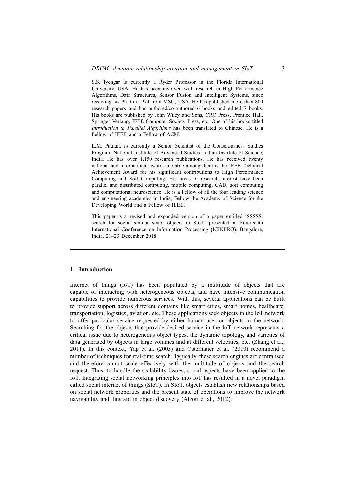S.S. Iyengar is currently a Ryder Professor in the Florida International University, USA. He has been involved with research in High Performance Algorithms, Data Structures, Sensor Fusion and Intelligent Systems, since receiving his PhD in 1974 from MSU, USA. He has published more than 800 research papers and has authored/co-authored 6 books and edited 7 books. His books are published by John Wiley and Sons, CRC Press, Prentice Hall, Springer Verlang, IEEE Computer Society Press, etc. One of his books titled *Introduction to Parallel Algorithms* has been translated to Chinese. He is a Fellow of IEEE and a Fellow of ACM.

L.M. Patnaik is currently a Senior Scientist of the Consciousness Studies Program, National Institute of Advanced Studies, Indian Institute of Science, India. He has over 1,150 research publications. He has received twenty national and international awards: notable among them is the IEEE Technical Achievement Award for his significant contributions to High Performance Computing and Soft Computing. His areas of research interest have been parallel and distributed computing, mobile computing, CAD, soft computing and computational neuroscience. He is a Fellow of all the four leading science and engineering academies in India, Fellow the Academy of Science for the Developing World and a Fellow of IEEE.

This paper is a revised and expanded version of a paper entitled 'SSSSS: search for social similar smart objects in SIoT' presented at Fourteenth International Conference on Information Processing (ICINPRO), Bangalore, India, 21–23 December 2018.

## **1 Introduction**

Internet of things (IoT) has been populated by a multitude of objects that are capable of interacting with heterogeneous objects, and have intensive communication capabilities to provide numerous services. With this, several applications can be built to provide support across different domains like smart cities, smart homes, healthcare, transportation, logistics, aviation, etc. These applications seek objects in the IoT network to offer particular service requested by either human user or objects in the network. Searching for the objects that provide desired service in the IoT network represents a critical issue due to heterogeneous object types, the dynamic topology, and varieties of data generated by objects in large volumes and at different velocities, etc. (Zhang et al., 2011). In this context, Yap et al. (2005) and Ostermaier et al. (2010) recommend a number of techniques for real-time search. Typically, these search engines are centralised and therefore cannot scale effectively with the multitude of objects and the search request. Thus, to handle the scalability issues, social aspects have been applied to the IoT. Integrating social networking principles into IoT has resulted in a novel paradigm called social internet of things (SIoT). In SIoT, objects establish new relationships based on social network properties and the present state of operations to improve the network navigability and thus aid in object discovery (Atzori et al., 2012).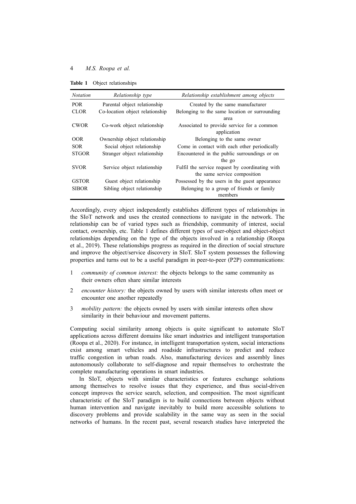**Table 1** Object relationships

| <b>Notation</b> | Relationship type               | Relationship establishment among objects                  |
|-----------------|---------------------------------|-----------------------------------------------------------|
| <b>POR</b>      | Parental object relationship    | Created by the same manufacturer                          |
| <b>CLOR</b>     | Co-location object relationship | Belonging to the same location or surrounding             |
|                 |                                 | area                                                      |
| <b>CWOR</b>     | Co-work object relationship     | Associated to provide service for a common<br>application |
| OOR.            | Ownership object relationship   | Belonging to the same owner                               |
| <b>SOR</b>      | Social object relationship      | Come in contact with each other periodically              |
| <b>STGOR</b>    | Stranger object relationship    | Encountered in the public surroundings or on              |
|                 |                                 | the go                                                    |
| <b>SVOR</b>     | Service object relationship     | Fulfil the service request by coordinating with           |
|                 |                                 | the same service composition                              |
| <b>GSTOR</b>    | Guest object relationship       | Possessed by the users in the guest appearance            |
| <b>SIBOR</b>    | Sibling object relationship     | Belonging to a group of friends or family                 |
|                 |                                 | members                                                   |

Accordingly, every object independently establishes different types of relationships in the SIoT network and uses the created connections to navigate in the network. The relationship can be of varied types such as friendship, community of interest, social contact, ownership, etc. Table 1 defines different types of user-object and object-object relationships depending on the type of the objects involved in a relationship (Roopa et al., 2019). These relationships progress as required in the direction of social structure and improve the object/service discovery in SIoT. SIoT system possesses the following properties and turns out to be a useful paradigm in peer-to-peer (P2P) communications:

- 1 *community of common interest:* the objects belongs to the same community as their owners often share similar interests
- 2 *encounter history:* the objects owned by users with similar interests often meet or encounter one another repeatedly
- 3 *mobility pattern:* the objects owned by users with similar interests often show similarity in their behaviour and movement patterns.

Computing social similarity among objects is quite significant to automate SIoT applications across different domains like smart industries and intelligent transportation (Roopa et al., 2020). For instance, in intelligent transportation system, social interactions exist among smart vehicles and roadside infrastructures to predict and reduce traffic congestion in urban roads. Also, manufacturing devices and assembly lines autonomously collaborate to self-diagnose and repair themselves to orchestrate the complete manufacturing operations in smart industries.

In SIoT, objects with similar characteristics or features exchange solutions among themselves to resolve issues that they experience, and thus social-driven concept improves the service search, selection, and composition. The most significant characteristic of the SIoT paradigm is to build connections between objects without human intervention and navigate inevitably to build more accessible solutions to discovery problems and provide scalability in the same way as seen in the social networks of humans. In the recent past, several research studies have interpreted the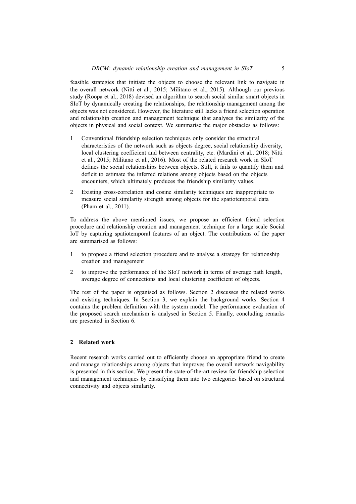feasible strategies that initiate the objects to choose the relevant link to navigate in the overall network (Nitti et al., 2015; Militano et al., 2015). Although our previous study (Roopa et al., 2018) devised an algorithm to search social similar smart objects in SIoT by dynamically creating the relationships, the relationship management among the objects was not considered. However, the literature still lacks a friend selection operation and relationship creation and management technique that analyses the similarity of the objects in physical and social context. We summarise the major obstacles as follows:

- 1 Conventional friendship selection techniques only consider the structural characteristics of the network such as objects degree, social relationship diversity, local clustering coefficient and between centrality, etc. (Mardini et al., 2018; Nitti et al., 2015; Militano et al., 2016). Most of the related research work in SIoT defines the social relationships between objects. Still, it fails to quantify them and deficit to estimate the inferred relations among objects based on the objects encounters, which ultimately produces the friendship similarity values.
- 2 Existing cross-correlation and cosine similarity techniques are inappropriate to measure social similarity strength among objects for the spatiotemporal data (Pham et al., 2011).

To address the above mentioned issues, we propose an efficient friend selection procedure and relationship creation and management technique for a large scale Social IoT by capturing spatiotemporal features of an object. The contributions of the paper are summarised as follows:

- 1 to propose a friend selection procedure and to analyse a strategy for relationship creation and management
- 2 to improve the performance of the SIoT network in terms of average path length, average degree of connections and local clustering coefficient of objects.

The rest of the paper is organised as follows. Section 2 discusses the related works and existing techniques. In Section 3, we explain the background works. Section 4 contains the problem definition with the system model. The performance evaluation of the proposed search mechanism is analysed in Section 5. Finally, concluding remarks are presented in Section 6.

# **2 Related work**

Recent research works carried out to efficiently choose an appropriate friend to create and manage relationships among objects that improves the overall network navigability is presented in this section. We present the state-of-the-art review for friendship selection and management techniques by classifying them into two categories based on structural connectivity and objects similarity.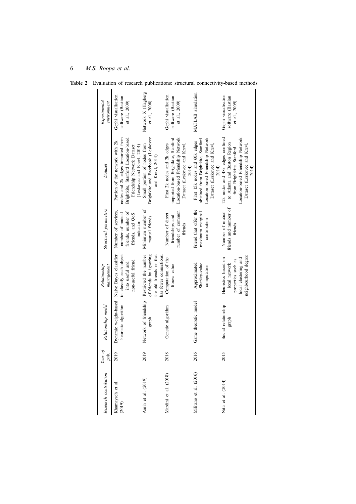# *Research contribution Year of pub. Relationship model Relationship management Structural parameters Dataset Experimental environment* Khamayseh et al. (2019) 2019 Dynamic weight‐based heuristic algorithm Naive Bayes classifier to classify each object into useful and non-useful friend Number of services, number of mutual friends, number of friends, and QoS indicator. Portion of the network with 2k nodes and 2k edges imported from Brightkite, Stanford Location-based Friendship Network Dataset (Leskovec and Krevl, 2014) Gephi visualisation software (Bastian et al., 2009) Amin et al. (2019) 2019 Network of friendship graph Restricted the number of friends by ignoring the old friends or that has fewer connections. Minimum number of mutual friends Small portion of nodes from Brightkite and Facebook (Leskovec and Krevl, 2014) Network X (Hagberg et al., 2008) Mardini et al. (2018) 2018 Genetic algorithm Computation of the fitness value Number of direct friendships and number of common friends First 2k nodes and 2k edges imported from Brightkite, Stanford Location-based Friendship Network Dataset (Leskovec and Krevl, 2014) Gephi visualisation software (Bastian et al., 2009) Militano et al. (2016) 2016 Game theoretic model Approximated Shapley-value computation Friend that offer the maximum marginal contribution First 15k nodes and 60k edges obtained from Brightkite, Stanford Location-based Friendship Network Dataset (Leskovec and Krevl, 2014) MATLAB simulation Nitti et al. (2014) 2015 Social relationship graph Heuristics based on local network properties such as local clustering and neighbourhood degree Number of mutual friends and number of friends 12k nodes and 48k edges confined to Atlanta and Boston Region from Brightkite, Stanford Location-based Friendship Network Dataset (Leskovec and Krevl, 2014) Gephi visualisation software (Bastian et al., 2009)

**Table 2** Evaluation of research publications: structural connectivity-based methods

6 *M.S. Roopa et al.*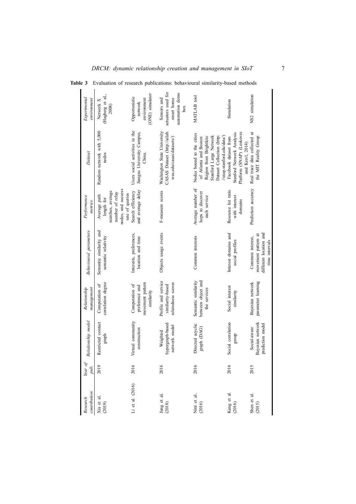| contribution<br>Research | Year of<br>pub. | Relationship model                                   | Relationship<br>management                                         | <b>Behavioural</b> parameters                                                       | Performance<br>metrics                                                                                      | Dataset                                                                                                                                                           | Experimental<br>environment                                               |
|--------------------------|-----------------|------------------------------------------------------|--------------------------------------------------------------------|-------------------------------------------------------------------------------------|-------------------------------------------------------------------------------------------------------------|-------------------------------------------------------------------------------------------------------------------------------------------------------------------|---------------------------------------------------------------------------|
| Xia et al.<br>(2019)     | 2019            | Restricted contact<br>graph                          | correlation degree<br>Computation of                               | Semantic similarity and<br>semantic relativity                                      | nodes, and success<br>searches, average<br>number of relay<br>rate of queries<br>Average path<br>length for | Random network with 5,000<br>nodes                                                                                                                                | (Hagberg et al.,<br>Network X<br>2008)                                    |
| $\Xi$ et al. $(2016)$    | 2016            | Virtual community<br>construction                    | movement pattern<br>Computation of<br>preference and<br>similarity | Interests, preferences,<br>location and time                                        | and average delay<br>Search efficiency                                                                      | Users social activities in the<br>Jiangsu University Campus,<br>China.                                                                                            | (ONE) simulator<br>Opportunistic<br>environment<br>network                |
| Jung et al.<br>(2018)    | 2016            | hypergraph-based<br>network model<br>Weighted        | Profile and service<br>relatedness scores<br>similarity-based      | Objects usage events                                                                | F-measure scores                                                                                            | Washington State University<br>CASAS Dataset (http://ailab.<br>wsu.edu/casas/datasets/)                                                                           | actuators used for<br>automation demo<br>smart home<br>Sensors and<br>box |
| Nitti et al.<br>(2016)   | 2016            | Directed acyclic<br>graph (DAG)                      | between object and<br>Semantic similarity<br>the services          | Common interests                                                                    | Average number of<br>hops to discover<br>each service                                                       | Nodes bound to the cities<br>Stanford Large Network<br>Dataset Collection (http:<br>Region from Brightkite<br>//snap.stanford.edu/data/)<br>of Atlanta and Boston | MATLAB tool                                                               |
| Kang et al.<br>$(2016)$  | 2016            | Social correlation<br>dno.fa                         | Social interest<br>similarity                                      | Interest domains and<br>social profiles                                             | Resource hit ratio<br>with interest<br>domains                                                              | Platform (SNAP) (Leskovec<br>Stanford Network Analysis<br>Facebook dataset from<br>and Krevl, 2014)                                                               | Simulation                                                                |
| Shen et al.<br>(2015)    | 2015            | Bayesian network<br>prediction model<br>Social-aware | parameter learning<br>Bayesian network                             | different location and<br>movement pattern at<br>Common interest,<br>time intervals | Prediction accuracy                                                                                         | Real trace data collected at<br>the MIT Reality Group                                                                                                             | NS2 simulation                                                            |

**Table 3** Evaluation of research publications: behavioural similarity-based methods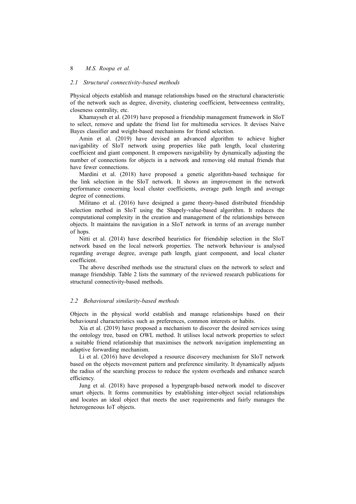# *2.1 Structural connectivity-based methods*

Physical objects establish and manage relationships based on the structural characteristic of the network such as degree, diversity, clustering coefficient, betweenness centrality, closeness centrality, etc.

Khamayseh et al. (2019) have proposed a friendship management framework in SIoT to select, remove and update the friend list for multimedia services. It devises Naive Bayes classifier and weight-based mechanisms for friend selection.

Amin et al. (2019) have devised an advanced algorithm to achieve higher navigability of SIoT network using properties like path length, local clustering coefficient and giant component. It empowers navigability by dynamically adjusting the number of connections for objects in a network and removing old mutual friends that have fewer connections.

Mardini et al. (2018) have proposed a genetic algorithm-based technique for the link selection in the SIoT network. It shows an improvement in the network performance concerning local cluster coefficients, average path length and average degree of connections.

Militano et al. (2016) have designed a game theory-based distributed friendship selection method in SIoT using the Shapely-value-based algorithm. It reduces the computational complexity in the creation and management of the relationships between objects. It maintains the navigation in a SIoT network in terms of an average number of hops.

Nitti et al. (2014) have described heuristics for friendship selection in the SIoT network based on the local network properties. The network behaviour is analysed regarding average degree, average path length, giant component, and local cluster coefficient.

The above described methods use the structural clues on the network to select and manage friendship. Table 2 lists the summary of the reviewed research publications for structural connectivity-based methods.

#### *2.2 Behavioural similarity-based methods*

Objects in the physical world establish and manage relationships based on their behavioural characteristics such as preferences, common interests or habits.

Xia et al. (2019) have proposed a mechanism to discover the desired services using the ontology tree, based on OWL method. It utilises local network properties to select a suitable friend relationship that maximises the network navigation implementing an adaptive forwarding mechanism.

Li et al. (2016) have developed a resource discovery mechanism for SIoT network based on the objects movement pattern and preference similarity. It dynamically adjusts the radius of the searching process to reduce the system overheads and enhance search efficiency.

Jung et al. (2018) have proposed a hypergraph-based network model to discover smart objects. It forms communities by establishing inter-object social relationships and locates an ideal object that meets the user requirements and fairly manages the heterogeneous IoT objects.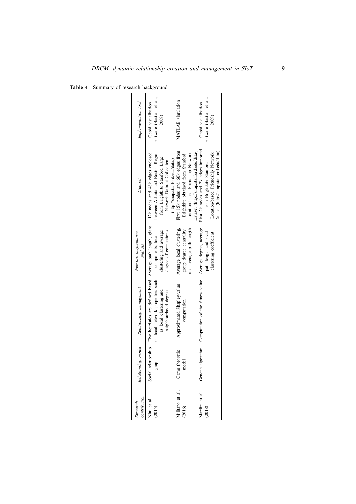| <b>Table 4</b> Summary of research background |  |
|-----------------------------------------------|--|
|                                               |  |

| Implementation tool             | software (Bastian et al.,<br>Gephi visualisation<br>2009)                                                                                                                 | MATLAB simulation                                                                                                                                        | software (Bastian et al.,<br>Gephi visualisation<br>2009)                                                                                         |
|---------------------------------|---------------------------------------------------------------------------------------------------------------------------------------------------------------------------|----------------------------------------------------------------------------------------------------------------------------------------------------------|---------------------------------------------------------------------------------------------------------------------------------------------------|
| Dataset                         | between Atlanta and Boston Region<br>12k nodes and 48k edges enclosed<br>from Brightkite Stanford Large<br>(http://snap.stanford.edu/data/)<br>Network Dataset Collection | First 15k nodes and 60k edges from<br>Dataset (http://snap.stanford.edu/data/)<br>Location-based Friendship Network<br>Brightkite obtained from Stanford | First 2k nodes and 2k edges imported<br>Dataset (http://snap.stanford.edu/data/)<br>Location-based Friendship Network<br>from Brightkite Stanford |
| Network performance<br>analysis | clustering and average<br>degree of connections<br>components, local                                                                                                      | Average local clustering,<br>and average path length<br>group degree centrality                                                                          | Average degree, average<br>clustering coefficient<br>path length and local                                                                        |
| Relationship management         | Social relationship Five heuristics are defined based Average path length, giant<br>on local network properties such<br>as local clustering and<br>neighbourhood degree   | Approximated Shapley-value<br>computation                                                                                                                | Genetic algorithm Computation of the fitness value                                                                                                |
| Relationship model              | graph                                                                                                                                                                     | Game theoretic<br>model                                                                                                                                  |                                                                                                                                                   |
| ontribution<br>lesearch         | Vitti et al.<br>(2015)                                                                                                                                                    | dilitano et al.<br>2016)                                                                                                                                 | Mardini et al.<br>(2018)                                                                                                                          |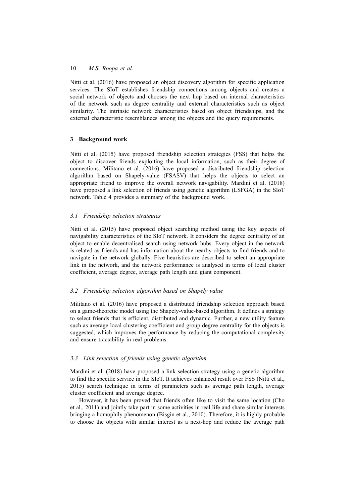Nitti et al. (2016) have proposed an object discovery algorithm for specific application services. The SIoT establishes friendship connections among objects and creates a social network of objects and chooses the next hop based on internal characteristics of the network such as degree centrality and external characteristics such as object similarity. The intrinsic network characteristics based on object friendships, and the external characteristic resemblances among the objects and the query requirements.

## **3 Background work**

Nitti et al. (2015) have proposed friendship selection strategies (FSS) that helps the object to discover friends exploiting the local information, such as their degree of connections. Militano et al. (2016) have proposed a distributed friendship selection algorithm based on Shapely-value (FSASV) that helps the objects to select an appropriate friend to improve the overall network navigability. Mardini et al. (2018) have proposed a link selection of friends using genetic algorithm (LSFGA) in the SIoT network. Table 4 provides a summary of the background work.

# *3.1 Friendship selection strategies*

Nitti et al. (2015) have proposed object searching method using the key aspects of navigability characteristics of the SIoT network. It considers the degree centrality of an object to enable decentralised search using network hubs. Every object in the network is related as friends and has information about the nearby objects to find friends and to navigate in the network globally. Five heuristics are described to select an appropriate link in the network, and the network performance is analysed in terms of local cluster coefficient, average degree, average path length and giant component.

## *3.2 Friendship selection algorithm based on Shapely value*

Militano et al. (2016) have proposed a distributed friendship selection approach based on a game-theoretic model using the Shapely-value-based algorithm. It defines a strategy to select friends that is efficient, distributed and dynamic. Further, a new utility feature such as average local clustering coefficient and group degree centrality for the objects is suggested, which improves the performance by reducing the computational complexity and ensure tractability in real problems.

# *3.3 Link selection of friends using genetic algorithm*

Mardini et al. (2018) have proposed a link selection strategy using a genetic algorithm to find the specific service in the SIoT. It achieves enhanced result over FSS (Nitti et al., 2015) search technique in terms of parameters such as average path length, average cluster coefficient and average degree.

However, it has been proved that friends often like to visit the same location (Cho et al., 2011) and jointly take part in some activities in real life and share similar interests bringing a homophily phenomenon (Bisgin et al., 2010). Therefore, it is highly probable to choose the objects with similar interest as a next-hop and reduce the average path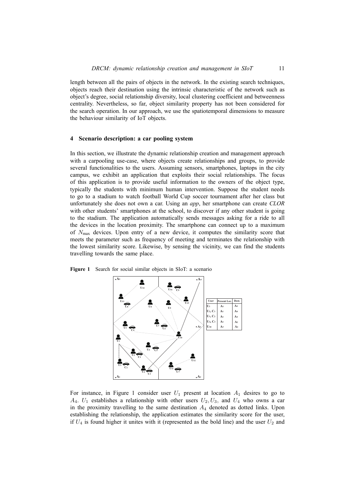length between all the pairs of objects in the network. In the existing search techniques, objects reach their destination using the intrinsic characteristic of the network such as object's degree, social relationship diversity, local clustering coefficient and betweenness centrality. Nevertheless, so far, object similarity property has not been considered for the search operation. In our approach, we use the spatiotemporal dimensions to measure the behaviour similarity of IoT objects.

## **4 Scenario description: a car pooling system**

In this section, we illustrate the dynamic relationship creation and management approach with a carpooling use-case, where objects create relationships and groups, to provide several functionalities to the users. Assuming sensors, smartphones, laptops in the city campus, we exhibit an application that exploits their social relationships. The focus of this application is to provide useful information to the owners of the object type, typically the students with minimum human intervention. Suppose the student needs to go to a stadium to watch football World Cup soccer tournament after her class but unfortunately she does not own a car. Using an *app*, her smartphone can create *CLOR* with other students' smartphones at the school, to discover if any other student is going to the stadium. The application automatically sends messages asking for a ride to all the devices in the location proximity. The smartphone can connect up to a maximum of *N*max devices. Upon entry of a new device, it computes the similarity score that meets the parameter such as frequency of meeting and terminates the relationship with the lowest similarity score. Likewise, by sensing the vicinity, we can find the students travelling towards the same place.



**Figure 1** Search for social similar objects in SIoT: a scenario

For instance, in Figure 1 consider user  $U_1$  present at location  $A_1$  desires to go to  $A_4$ .  $U_1$  establishes a relationship with other users  $U_2, U_3$ , and  $U_4$  who owns a car in the proximity travelling to the same destination  $A_4$  denoted as dotted links. Upon establishing the relationship, the application estimates the similarity score for the user, if  $U_4$  is found higher it unites with it (represented as the bold line) and the user  $U_2$  and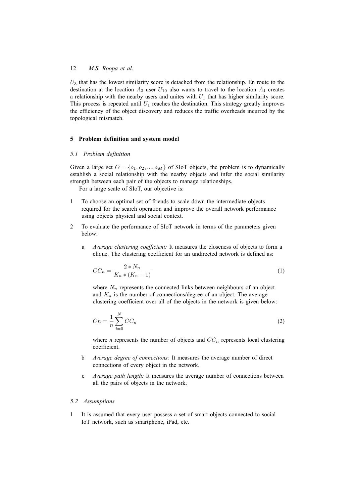*U*<sup>3</sup> that has the lowest similarity score is detached from the relationship. En route to the destination at the location  $A_3$  user  $U_{10}$  also wants to travel to the location  $A_4$  creates a relationship with the nearby users and unites with  $U_1$  that has higher similarity score. This process is repeated until  $U_1$  reaches the destination. This strategy greatly improves the efficiency of the object discovery and reduces the traffic overheads incurred by the topological mismatch.

#### **5 Problem definition and system model**

# *5.1 Problem definition*

Given a large set  $O = \{o_1, o_2, ..., o_M\}$  of SIoT objects, the problem is to dynamically establish a social relationship with the nearby objects and infer the social similarity strength between each pair of the objects to manage relationships.

For a large scale of SIoT, our objective is:

- 1 To choose an optimal set of friends to scale down the intermediate objects required for the search operation and improve the overall network performance using objects physical and social context.
- 2 To evaluate the performance of SIoT network in terms of the parameters given below:
	- a *Average clustering coefficient:* It measures the closeness of objects to form a clique. The clustering coefficient for an undirected network is defined as:

$$
CC_n = \frac{2*N_n}{K_n*(K_n-1)}
$$
\n<sup>(1)</sup>

where  $N_n$  represents the connected links between neighbours of an object and  $K_n$  is the number of connections/degree of an object. The average clustering coefficient over all of the objects in the network is given below:

$$
C_n = \frac{1}{n} \sum_{i=0}^{N} CC_n \tag{2}
$$

where *n* represents the number of objects and  $CC_n$  represents local clustering coefficient.

- b *Average degree of connections:* It measures the average number of direct connections of every object in the network.
- c *Average path length:* It measures the average number of connections between all the pairs of objects in the network.

#### *5.2 Assumptions*

1 It is assumed that every user possess a set of smart objects connected to social IoT network, such as smartphone, iPad, etc.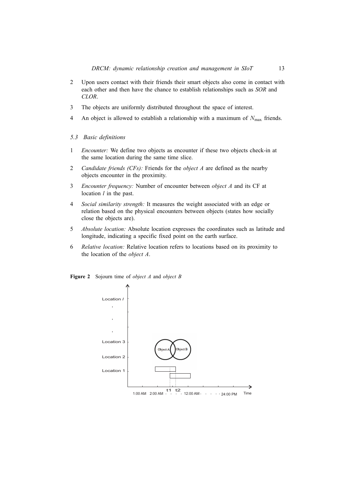- 2 Upon users contact with their friends their smart objects also come in contact with each other and then have the chance to establish relationships such as *SOR* and *CLOR*.
- 3 The objects are uniformly distributed throughout the space of interest.
- 4 An object is allowed to establish a relationship with a maximum of  $N_{\text{max}}$  friends.
- *5.3 Basic definitions*
- 1 *Encounter:* We define two objects as encounter if these two objects check-in at the same location during the same time slice.
- 2 *Candidate friends (CFs):* Friends for the *object A* are defined as the nearby objects encounter in the proximity.
- 3 *Encounter frequency:* Number of encounter between *object A* and its CF at location *l* in the past.
- 4 *Social similarity strength:* It measures the weight associated with an edge or relation based on the physical encounters between objects (states how socially close the objects are).
- 5 *Absolute location:* Absolute location expresses the coordinates such as latitude and longitude, indicating a specific fixed point on the earth surface.
- 6 *Relative location:* Relative location refers to locations based on its proximity to the location of the *object A*.

**Figure 2** Sojourn time of *object A* and *object B*

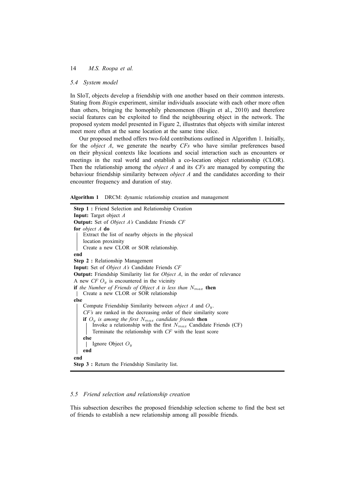# *5.4 System model*

In SIoT, objects develop a friendship with one another based on their common interests. Stating from *Bisgin* experiment, similar individuals associate with each other more often than others, bringing the homophily phenomenon (Bisgin et al., 2010) and therefore social features can be exploited to find the neighbouring object in the network. The proposed system model presented in Figure 2, illustrates that objects with similar interest meet more often at the same location at the same time slice.

Our proposed method offers two-fold contributions outlined in Algorithm 1. Initially, for the *object A*, we generate the nearby *CFs* who have similar preferences based on their physical contexts like locations and social interaction such as encounters or meetings in the real world and establish a co-location object relationship (CLOR). Then the relationship among the *object A* and its *CFs* are managed by computing the behaviour friendship similarity between *object A* and the candidates according to their encounter frequency and duration of stay.

**Algorithm 1** DRCM: dynamic relationship creation and management

```
Step 1 : Friend Selection and Relationship Creation
Input: Target object A
Output: Set of Object A's Candidate Friends CF
for object A do
   Extract the list of nearby objects in the physical
   location proximity
   Create a new CLOR or SOR relationship.
end
Step 2 : Relationship Management
Input: Set of Object A's Candidate Friends CF
Output: Friendship Similarity list for Object A, in the order of relevance
A new CFO<sub>y</sub> is encountered in the vicinity
if the Number of Friends of Object A is less than Nmax then
   Create a new CLOR or SOR relationship
else
    Compute Friendship Similarity between object A and Oy.
    CF's are ranked in the decreasing order of their similarity score
   if O_y is among the first N_{max} candidate friends then
        Invoke a relationship with the first Nmax Candidate Friends (CF)
       Terminate the relationship with CF with the least score
   else
    \mathbb{L}Ignore Object Oy
   end
end
Step 3 : Return the Friendship Similarity list.
```
# 5.5 Friend selection and relationship creation  $\frac{1}{2}$  is used to measure the distance between two locations utilising the distance between two locations utilising the distance between two locations utilising the distance between two locations utilising the distance

This subsection describes the proposed friendship selection scheme to find the best set of friends to establish a new relationship among all possible friends.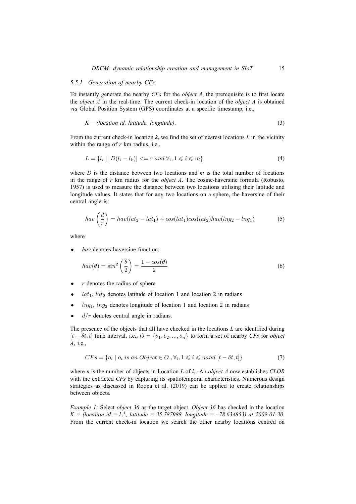# *5.5.1 Generation of nearby CFs*

To instantly generate the nearby *CFs* for the *object A*, the prerequisite is to first locate the *object A* in the real-time. The current check-in location of the *object A* is obtained *via* Global Position System (GPS) coordinates at a specific timestamp, i.e.,

$$
K = (location id, latitude, longitude).
$$
\n
$$
(3)
$$

From the current check-in location *k*, we find the set of nearest locations *L* in the vicinity within the range of *r* km radius, i.e.,

$$
L = \{l_i \mid D(l_i - l_k)| <= r \text{ and } \forall i, 1 \leq i \leq m\} \tag{4}
$$

where *D* is the distance between two locations and *m* is the total number of locations in the range of *r* km radius for the *object A*. The cosine-haversine formula (Robusto, 1957) is used to measure the distance between two locations utilising their latitude and longitude values. It states that for any two locations on a sphere, the haversine of their central angle is:

$$
hav\left(\frac{d}{r}\right) = hav(lat_2 - lat_1) + cos(lat_1)cos(lat_2)hav(lng_2 - lng_1)
$$
\n(5)

where

*• hav* denotes haversine function:

$$
hav(\theta) = \sin^2\left(\frac{\theta}{2}\right) = \frac{1 - \cos(\theta)}{2} \tag{6}
$$

- *• r* denotes the radius of sphere
- $lat_1$ ,  $lat_2$  denotes latitude of location 1 and location 2 in radians
- $ln g_1$ ,  $ln g_2$  denotes longitude of location 1 and location 2 in radians
- $d/r$  denotes central angle in radians.

The presence of the objects that all have checked in the locations *L* are identified during  $[t - \delta t, t]$  time interval, i.e.,  $O = \{o_1, o_2, ..., o_n\}$  to form a set of nearby *CFs* for *object A*, i.e.,

$$
CFs = \{o_i \mid o_i \text{ is an Object} \in O \text{ , } \forall_i, 1 \leq i \leq \text{ nand } [t - \delta t, t] \} \tag{7}
$$

where *n* is the number of objects in Location *L* of *l<sup>i</sup>* . An *object A* now establishes *CLOR* with the extracted *CFs* by capturing its spatiotemporal characteristics. Numerous design strategies as discussed in Roopa et al. (2019) can be applied to create relationships between objects.

*Example 1:* Select *object 36* as the target object. *Object 36* has checked in the location  $K = (location \ id = l_1^1, latitude = 35.787988, longitude = -78.634853)$  at 2009-01-30. From the current check-in location we search the other nearby locations centred on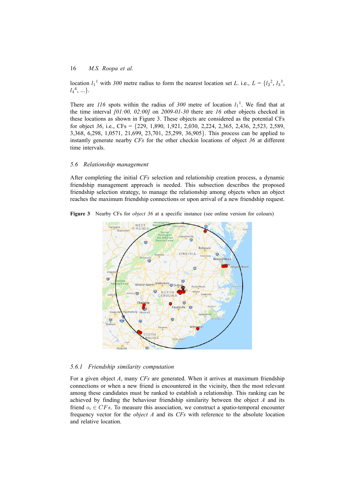location  $l_1$ <sup>1</sup> with 300 metre radius to form the nearest location set *L*. i.e.,  $L = \{l_2^2, l_3^3, \ldots, l_m^3\}$ *l*4 4 , ...*}*.

There are  $116$  spots within the radius of  $300$  metre of location  $l_1$ <sup>1</sup>. We find that at the time interval *[01:00, 02:00]* on *2009-01-30* there are *16* other objects checked in these locations as shown in Figure 3. These objects are considered as the potential CFs for object *36*, i.e., CFs = *{*229, 1,890, 1,921, 2,030, 2,224, 2,365, 2,436, 2,523, 2,589, 3,368, 6,298, 1,0571, 21,699, 23,701, 25,299, 36,905*}*. This process can be applied to instantly generate nearby *CFs* for the other checkin locations of object *36* at different time intervals.

#### *5.6 Relationship management*

After completing the initial *CFs* selection and relationship creation process, a dynamic friendship management approach is needed. This subsection describes the proposed friendship selection strategy, to manage the relationship among objects when an object reaches the maximum friendship connections or upon arrival of a new friendship request.

**Figure 3** Nearby CFs for *object 36* at a specific instance (see online version for colours)



*5.6.1 Friendship similarity computation*

For a given object *A*, many *CFs* are generated. When it arrives at maximum friendship connections or when a new friend is encountered in the vicinity, then the most relevant among these candidates must be ranked to establish a relationship. This ranking can be achieved by finding the behaviour friendship similarity between the object *A* and its friend  $o_i \in CFs$ . To measure this association, we construct a spatio-temporal encounter frequency vector for the *object A* and its *CFs* with reference to the absolute location and relative location.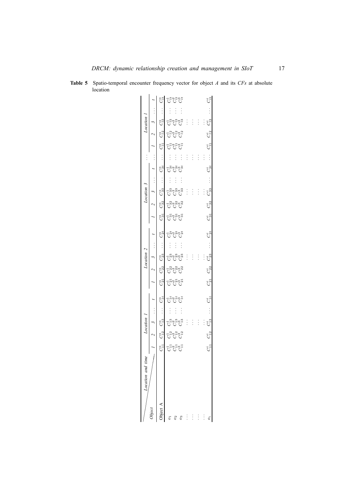| $\vdots$<br>-สิงสิงสิ<br>U U U<br>$\vdots$<br>$\frac{1}{2}$<br>$\vdots$<br><b>C</b> <sup>22</sup><br>C <sub>222</sub><br>C <sub>222</sub><br>0 0 0<br>កុម្ពុធរួមខ្ម |
|---------------------------------------------------------------------------------------------------------------------------------------------------------------------|
| $C_{32}^i$<br>$C_{31}^i$<br>$\cdots$ $C_{2t}^i$<br>$C_{23}^i$<br>$\vdots$<br>$C^i_{22}$<br>$C^i_{21}$                                                               |
| ಕ್ಷ್ಮಿಸ್ಥಾನ<br>ಕಾರ್                                                                                                                                                 |
|                                                                                                                                                                     |

**Table 5** Spatio-temporal encounter frequency vector for object *A* and its *CFs* at absolute location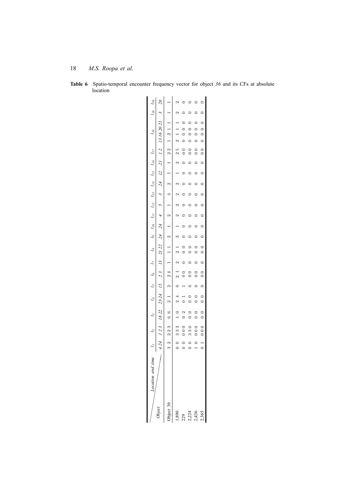| $l_{19}$ $l_{20}$                                      |                                                                       |          |                       |                    |                                                      |                                                                                                                                                                                                                                                                                                                                 |                                                                     |
|--------------------------------------------------------|-----------------------------------------------------------------------|----------|-----------------------|--------------------|------------------------------------------------------|---------------------------------------------------------------------------------------------------------------------------------------------------------------------------------------------------------------------------------------------------------------------------------------------------------------------------------|---------------------------------------------------------------------|
|                                                        |                                                                       |          |                       |                    |                                                      |                                                                                                                                                                                                                                                                                                                                 |                                                                     |
| $l_{18}$                                               | 424 123 1822 2324 15 23 13 21 22 24 4 5 3 24 12 21 12 13 1620 21 3 20 |          | $2$ 1 1 1 2           | $0 \t 0 \t 0 \t 0$ | $\begin{matrix} 0 & 0 & 0 \\ 0 & 0 & 0 \end{matrix}$ | $\begin{matrix} 0 & 0 & 0 \\ 0 & 0 & 0 \\ 0 & 0 & 0 \\ 0 & 0 & 0 \\ 0 & 0 & 0 \\ 0 & 0 & 0 \\ 0 & 0 & 0 \\ 0 & 0 & 0 & 0 \\ 0 & 0 & 0 & 0 \\ 0 & 0 & 0 & 0 \\ 0 & 0 & 0 & 0 \\ 0 & 0 & 0 & 0 & 0 \\ 0 & 0 & 0 & 0 & 0 \\ 0 & 0 & 0 & 0 & 0 \\ 0 & 0 & 0 & 0 & 0 & 0 \\ 0 & 0 & 0 & 0 & 0 & 0 \\ 0 & 0 & 0 & 0 & 0 & 0 \\ 0 & 0$ | $\begin{array}{cccccccc}\n0 & 0 & 0 & 0 & 0 & 0 & 0 \\ \end{array}$ |
|                                                        |                                                                       |          | $\frac{5}{2}$         |                    | $\frac{0}{1}$                                        | $\begin{smallmatrix}0\0\end{smallmatrix}$                                                                                                                                                                                                                                                                                       |                                                                     |
|                                                        |                                                                       |          |                       |                    |                                                      |                                                                                                                                                                                                                                                                                                                                 |                                                                     |
|                                                        |                                                                       |          | $1 \quad 2$           |                    |                                                      |                                                                                                                                                                                                                                                                                                                                 |                                                                     |
|                                                        |                                                                       |          | $\sim$                |                    |                                                      |                                                                                                                                                                                                                                                                                                                                 | $\begin{bmatrix} 0 & 0 \\ 0 & 0 \end{bmatrix}$                      |
|                                                        |                                                                       |          |                       |                    |                                                      |                                                                                                                                                                                                                                                                                                                                 |                                                                     |
|                                                        |                                                                       |          | $\sim$                |                    |                                                      |                                                                                                                                                                                                                                                                                                                                 |                                                                     |
|                                                        |                                                                       |          |                       |                    |                                                      |                                                                                                                                                                                                                                                                                                                                 |                                                                     |
|                                                        |                                                                       |          | $\frac{1}{2}$         |                    |                                                      |                                                                                                                                                                                                                                                                                                                                 |                                                                     |
|                                                        |                                                                       |          |                       |                    |                                                      |                                                                                                                                                                                                                                                                                                                                 |                                                                     |
|                                                        |                                                                       |          | $2\quad1\quad3$       | $0 \t 0$           |                                                      | $0\quad 0$                                                                                                                                                                                                                                                                                                                      |                                                                     |
|                                                        |                                                                       |          |                       |                    | $\overline{a}$                                       |                                                                                                                                                                                                                                                                                                                                 |                                                                     |
|                                                        |                                                                       |          |                       |                    | $\frac{1}{2}$                                        |                                                                                                                                                                                                                                                                                                                                 |                                                                     |
|                                                        |                                                                       |          |                       |                    |                                                      |                                                                                                                                                                                                                                                                                                                                 |                                                                     |
|                                                        |                                                                       |          |                       |                    | $\circ$                                              | $\begin{matrix}\n0 & 0 & 0\n\end{matrix}$                                                                                                                                                                                                                                                                                       |                                                                     |
|                                                        |                                                                       |          |                       | 000002011          | $\begin{smallmatrix}0\end{smallmatrix}$              |                                                                                                                                                                                                                                                                                                                                 |                                                                     |
| 11 12 13 14 15 16 17 18 19 111 112 113 114 115 116 117 |                                                                       |          | 0 0 333 1 0 24 0 21 2 |                    | 330                                                  | 1000                                                                                                                                                                                                                                                                                                                            |                                                                     |
|                                                        |                                                                       |          |                       | $\frac{1}{2}$      | $\begin{matrix} 0 \\ 0 \end{matrix}$                 |                                                                                                                                                                                                                                                                                                                                 |                                                                     |
| time<br>tion and                                       |                                                                       |          |                       |                    |                                                      |                                                                                                                                                                                                                                                                                                                                 |                                                                     |
|                                                        | <b>Diect</b>                                                          | bject 36 |                       |                    |                                                      | $1,890$<br>229<br>2,224<br>2,436                                                                                                                                                                                                                                                                                                | 2,365                                                               |

**Table 6** Spatio-temporal encounter frequency vector for object *36* and its CFs at absolute location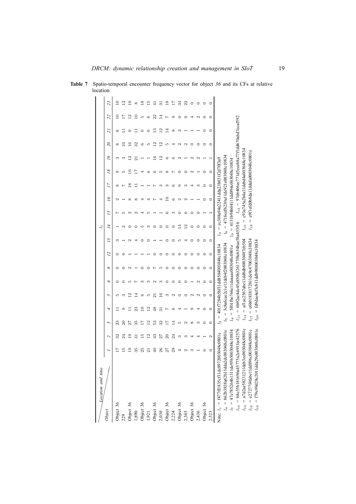| Location and time                                                                                                                                                                                                                                                                                                                                                             |               |                          |                                                                                                      |                                                                                                                 |                                                                                                                                                                                                                             |   |         |   |                                      | $\overline{a}$                                                                                                                                             |                                                                           |   |                 |                |   |                          |                                                      |    |        |
|-------------------------------------------------------------------------------------------------------------------------------------------------------------------------------------------------------------------------------------------------------------------------------------------------------------------------------------------------------------------------------|---------------|--------------------------|------------------------------------------------------------------------------------------------------|-----------------------------------------------------------------------------------------------------------------|-----------------------------------------------------------------------------------------------------------------------------------------------------------------------------------------------------------------------------|---|---------|---|--------------------------------------|------------------------------------------------------------------------------------------------------------------------------------------------------------|---------------------------------------------------------------------------|---|-----------------|----------------|---|--------------------------|------------------------------------------------------|----|--------|
| Object                                                                                                                                                                                                                                                                                                                                                                        |               | $\overline{\mathcal{L}}$ | 3                                                                                                    | д                                                                                                               | $\overline{5}$                                                                                                                                                                                                              | ৽ | ∞       | 2 | 2                                    | 14                                                                                                                                                         | 51                                                                        | 2 | $\overline{17}$ | $\overline{8}$ | 2 | $\overline{\mathcal{E}}$ | $\tilde{\phantom{a}}$                                | 22 | 23     |
| Object 36                                                                                                                                                                                                                                                                                                                                                                     |               |                          |                                                                                                      |                                                                                                                 |                                                                                                                                                                                                                             |   |         |   |                                      |                                                                                                                                                            |                                                                           |   |                 |                |   |                          |                                                      |    |        |
|                                                                                                                                                                                                                                                                                                                                                                               | ≌             | 24                       | ន                                                                                                    |                                                                                                                 |                                                                                                                                                                                                                             |   |         |   |                                      |                                                                                                                                                            |                                                                           |   |                 |                |   |                          |                                                      |    | ن<br>آ |
|                                                                                                                                                                                                                                                                                                                                                                               | Q             |                          |                                                                                                      |                                                                                                                 |                                                                                                                                                                                                                             |   |         |   |                                      |                                                                                                                                                            |                                                                           |   |                 |                |   |                          |                                                      | Ņ, | ∞      |
|                                                                                                                                                                                                                                                                                                                                                                               | 35            |                          | న                                                                                                    | 23                                                                                                              |                                                                                                                                                                                                                             |   |         |   |                                      |                                                                                                                                                            |                                                                           |   |                 |                |   | 32                       |                                                      |    | ∞      |
| 229<br>Object 36<br>Object 36<br>Object 36<br>1,921                                                                                                                                                                                                                                                                                                                           |               | 5                        |                                                                                                      |                                                                                                                 |                                                                                                                                                                                                                             |   |         |   |                                      |                                                                                                                                                            |                                                                           |   |                 |                |   |                          |                                                      |    | œ      |
|                                                                                                                                                                                                                                                                                                                                                                               |               | ≌                        | ≌                                                                                                    | $\mathbf{\Omega}$                                                                                               |                                                                                                                                                                                                                             |   |         |   |                                      |                                                                                                                                                            |                                                                           |   |                 |                |   |                          |                                                      |    | E      |
|                                                                                                                                                                                                                                                                                                                                                                               | ą             | ೫                        | ಙ                                                                                                    | 48                                                                                                              |                                                                                                                                                                                                                             |   |         |   |                                      |                                                                                                                                                            |                                                                           |   |                 |                |   | N                        | ≌                                                    | 22 |        |
|                                                                                                                                                                                                                                                                                                                                                                               | 26            |                          | 32                                                                                                   | ಸ                                                                                                               | ≌                                                                                                                                                                                                                           |   |         |   |                                      |                                                                                                                                                            |                                                                           |   |                 |                | S | $\mathbf{\Omega}$        | $\mathbf{\Omega}$                                    |    |        |
|                                                                                                                                                                                                                                                                                                                                                                               |               | ຊ                        |                                                                                                      |                                                                                                                 |                                                                                                                                                                                                                             |   |         |   |                                      |                                                                                                                                                            |                                                                           |   | ∞               | $\infty$       |   |                          | ₫.                                                   |    | ≌      |
|                                                                                                                                                                                                                                                                                                                                                                               | 29            |                          | 4                                                                                                    |                                                                                                                 |                                                                                                                                                                                                                             |   |         |   |                                      |                                                                                                                                                            |                                                                           |   |                 |                |   |                          | œ                                                    |    |        |
| Object 36<br>2,030<br>2,030<br>Object 36<br>2,224<br>Object 36<br>2,365                                                                                                                                                                                                                                                                                                       |               | ∞                        | مد                                                                                                   |                                                                                                                 |                                                                                                                                                                                                                             |   |         |   |                                      |                                                                                                                                                            |                                                                           |   | ි               |                |   |                          |                                                      |    | నె     |
|                                                                                                                                                                                                                                                                                                                                                                               |               | ∝                        |                                                                                                      |                                                                                                                 |                                                                                                                                                                                                                             |   |         |   |                                      | S                                                                                                                                                          |                                                                           |   | ∝               |                |   |                          |                                                      |    | 22     |
|                                                                                                                                                                                                                                                                                                                                                                               |               |                          | œ                                                                                                    |                                                                                                                 |                                                                                                                                                                                                                             |   |         |   |                                      |                                                                                                                                                            |                                                                           |   |                 |                |   |                          |                                                      |    |        |
| Object 36<br>2,436                                                                                                                                                                                                                                                                                                                                                            |               |                          |                                                                                                      |                                                                                                                 |                                                                                                                                                                                                                             |   |         |   |                                      |                                                                                                                                                            |                                                                           |   |                 |                |   |                          |                                                      |    |        |
| Object 36                                                                                                                                                                                                                                                                                                                                                                     |               |                          |                                                                                                      |                                                                                                                 |                                                                                                                                                                                                                             |   | ⊂       |   |                                      |                                                                                                                                                            |                                                                           |   |                 |                |   |                          |                                                      |    |        |
| 2,523                                                                                                                                                                                                                                                                                                                                                                         |               |                          |                                                                                                      |                                                                                                                 |                                                                                                                                                                                                                             | ∊ | $\circ$ |   |                                      | ⊂                                                                                                                                                          |                                                                           |   |                 |                |   |                          | ⊂                                                    |    |        |
| $\begin{array}{rl} l_{10} &= 68 c55 b181696 a45775 a2 c6916 c42576 \\ l_{13} &= a7 d2 a e58231211 deb3 e c003048 c0801 e \\ l_{16} &= c27277 f4 fabc11 d d896 c003048 c0801 e \end{array}$<br>$l_{19}$ = f79c99d28c2011dda29e003048c0801e<br>$l_4 = 862b3838a62b11dda2dc003048c0801e$<br>$l_{\tau} = 47$ e785264b1311de95b5003048c10834<br>Note: $l_1 = f477f11835c f11de897$ | 2003048c0801e |                          | $l_{20}$<br>$^{14}$<br>$\mathbf{I}$<br>$\overline{11}$<br>117<br><u>o</u><br>57<br>$\mathcal{L}_{2}$ | $= 3c8a6cac2c1e11deb4f2003048c10834$<br>$\parallel$<br>$\parallel$<br>$\parallel$<br>$\parallel$<br>$\parallel$ | 6b92ac4dc45a850b326177f8e654bae58a453f16<br>aflac2567abe11dd8db80030487eb504<br>e6b01838172b11de9c47003048c10834<br>fd9dae4ef3cb11ddb980003048c10834<br>5f01fbe764e11deaaae003048c0801e<br>401f7284b5bf11dd8504003048c10834 |   |         |   | $\mathfrak{g}_1$<br>$\mathfrak{c}_3$ | $l_{15} = c93a745a2b4a11dobd4a003048c10834$<br>$=$ ec308a94a22411dda23b031f2d70f3a9<br>$l_{9} = 6151b94b04111d894c003048c10834$<br>$\parallel$<br>$^{l18}$ | e9f1efd0b8da11ddafa0003048c0801e<br>$= 4716$ eef6230a11de921e003048c10834 |   |                 |                |   |                          | $l_{12} = 97d6406ec771d5eceb8a77f1dd670abd7eca f592$ |    |        |

**Table 7** Spatio-temporal encounter frequency vector for object *36* and its CFs at relative  $\frac{1}{\sqrt{1}}$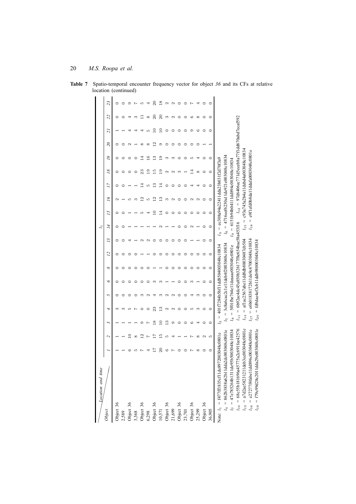| Location and time                                                                                                                                                                                                                                                                                                                                                    |               |                   |                                                                                          |                                                                                                                            |                                                                                                                                                                                                                             |   |   |   |                               | 5                                                                                                                                                                                  |                                                                      |    |    |                          |   |   |                                                     |    |    |
|----------------------------------------------------------------------------------------------------------------------------------------------------------------------------------------------------------------------------------------------------------------------------------------------------------------------------------------------------------------------|---------------|-------------------|------------------------------------------------------------------------------------------|----------------------------------------------------------------------------------------------------------------------------|-----------------------------------------------------------------------------------------------------------------------------------------------------------------------------------------------------------------------------|---|---|---|-------------------------------|------------------------------------------------------------------------------------------------------------------------------------------------------------------------------------|----------------------------------------------------------------------|----|----|--------------------------|---|---|-----------------------------------------------------|----|----|
| Dbject                                                                                                                                                                                                                                                                                                                                                               |               | $\sim$            | 3                                                                                        | 4                                                                                                                          | $\overline{5}$                                                                                                                                                                                                              | ৽ | ∞ | 2 | 2                             | 14                                                                                                                                                                                 | 2                                                                    | 2  | 77 | $\overline{\mathcal{S}}$ | 2 | S | 2                                                   | 22 | 23 |
| Object 36                                                                                                                                                                                                                                                                                                                                                            |               |                   |                                                                                          |                                                                                                                            |                                                                                                                                                                                                                             |   |   |   |                               |                                                                                                                                                                                    |                                                                      |    |    |                          |   |   |                                                     |    |    |
|                                                                                                                                                                                                                                                                                                                                                                      |               |                   |                                                                                          |                                                                                                                            |                                                                                                                                                                                                                             |   |   |   |                               |                                                                                                                                                                                    |                                                                      |    |    |                          |   |   |                                                     |    |    |
| 2,589<br>Object 36<br>Object 36<br>Object 36<br>Object 36<br>Object 36<br>Object 36<br>Object 36                                                                                                                                                                                                                                                                     |               |                   |                                                                                          |                                                                                                                            |                                                                                                                                                                                                                             |   |   |   |                               |                                                                                                                                                                                    |                                                                      |    |    |                          |   |   |                                                     |    |    |
|                                                                                                                                                                                                                                                                                                                                                                      |               |                   |                                                                                          |                                                                                                                            |                                                                                                                                                                                                                             |   |   |   |                               |                                                                                                                                                                                    |                                                                      |    |    |                          |   |   |                                                     |    |    |
|                                                                                                                                                                                                                                                                                                                                                                      |               | Ņ,                |                                                                                          |                                                                                                                            |                                                                                                                                                                                                                             |   |   |   |                               |                                                                                                                                                                                    |                                                                      |    |    |                          |   |   |                                                     |    |    |
|                                                                                                                                                                                                                                                                                                                                                                      |               |                   |                                                                                          |                                                                                                                            |                                                                                                                                                                                                                             |   |   |   |                               |                                                                                                                                                                                    |                                                                      |    |    |                          |   |   |                                                     |    |    |
|                                                                                                                                                                                                                                                                                                                                                                      |               |                   | œ                                                                                        |                                                                                                                            |                                                                                                                                                                                                                             |   |   |   |                               |                                                                                                                                                                                    |                                                                      |    | S  | īن                       |   | c |                                                     |    |    |
|                                                                                                                                                                                                                                                                                                                                                                      |               |                   |                                                                                          | 69                                                                                                                         |                                                                                                                                                                                                                             |   |   |   |                               |                                                                                                                                                                                    |                                                                      | 69 |    |                          |   |   |                                                     | 20 |    |
|                                                                                                                                                                                                                                                                                                                                                                      |               |                   | m                                                                                        |                                                                                                                            |                                                                                                                                                                                                                             |   |   |   |                               |                                                                                                                                                                                    |                                                                      |    |    |                          |   |   |                                                     |    |    |
|                                                                                                                                                                                                                                                                                                                                                                      |               |                   | ි.                                                                                       |                                                                                                                            |                                                                                                                                                                                                                             |   |   |   |                               |                                                                                                                                                                                    |                                                                      |    |    |                          |   |   |                                                     |    |    |
|                                                                                                                                                                                                                                                                                                                                                                      |               |                   |                                                                                          |                                                                                                                            |                                                                                                                                                                                                                             |   |   |   |                               |                                                                                                                                                                                    |                                                                      |    |    | ∝                        |   |   |                                                     |    |    |
| Object 36<br>23,701                                                                                                                                                                                                                                                                                                                                                  |               |                   |                                                                                          |                                                                                                                            |                                                                                                                                                                                                                             |   |   |   |                               |                                                                                                                                                                                    |                                                                      |    |    |                          |   |   |                                                     |    |    |
|                                                                                                                                                                                                                                                                                                                                                                      |               |                   |                                                                                          |                                                                                                                            |                                                                                                                                                                                                                             |   |   |   |                               |                                                                                                                                                                                    |                                                                      |    |    |                          |   |   | c.                                                  |    |    |
| Object 36<br>25,299<br>Object 36                                                                                                                                                                                                                                                                                                                                     |               | $\infty$          |                                                                                          |                                                                                                                            |                                                                                                                                                                                                                             |   |   |   |                               |                                                                                                                                                                                    |                                                                      | N  |    | $\infty$                 |   |   | ∝                                                   |    |    |
|                                                                                                                                                                                                                                                                                                                                                                      |               | $\mathbf{\Omega}$ |                                                                                          |                                                                                                                            |                                                                                                                                                                                                                             |   |   |   |                               |                                                                                                                                                                                    |                                                                      |    |    |                          |   |   |                                                     |    |    |
| 36,905                                                                                                                                                                                                                                                                                                                                                               |               | Ľ.                |                                                                                          |                                                                                                                            |                                                                                                                                                                                                                             |   |   |   |                               | ⊂                                                                                                                                                                                  |                                                                      |    |    |                          |   |   |                                                     |    |    |
| $\begin{array}{rl} l_{10} = 68 c55 b181696 a45775 a2 c691f{e}42576 \\ l_{13} = a7 d2 a e58231211 d{e} b3 c c003048 c0801 e \end{array}$<br>$l_{19}$ = f79c99d28c2011dda29e003048c0801e<br>$l_{16}$ = e27277f4fabe11dd896c003048c0801e<br>$l_{7} = 47$ e785264b1311de95b5003048c10834<br>$l_4 = 862b3838a62b11dda2dc003048c080i$<br>Note: $l_1 = f477f11835c11d_0897$ | 2003048c0801e |                   | $^{14}$<br>$l_{20}$<br>$\mathbf{I}$<br>$\overline{11}$<br>117<br>$\mathbf{S}$<br>5<br>ς, | 401f7284b5bf11dd8504003048c10834<br>$\parallel$<br>$\parallel$<br>$\mid \mid$<br>$\parallel$<br>$\parallel$<br>$\parallel$ | 6b92ac44c45a850b326177f8e654bae58a453f16<br>aflac2567abe11dd8db80030487eb504<br>e6b01838172b11de9c47003048c10834<br>fd9dae4ef3cb11ddb980003048c10834<br>3c8a6cac2c1e11deb4f2003048c10834<br>5f01fbe764e11deaaae003048c0801e |   |   |   | $\mathcal{C}$<br>$\mathbb{S}$ | $= 4716$ eef6230a11de921e003048c10834<br>$=$ ec308a94a22411dda23b031f2d70f3a9<br>$l_{9} = 6151b94b04111d894c003048c10834$<br>$\parallel$<br>$\parallel$<br>$^{l_{15}}$<br>$^{l18}$ | c93a745a2b4a11debd4a003048c10834<br>e9f1efd0b8da11ddafa0003048c0801e |    |    |                          |   |   | $l_{12}$ = 97d6406ec771d5eceb8a77f1dd670abd7ecaf592 |    |    |

**Table 7** Spatio-temporal encounter frequency vector for object *36* and its CFs at relative  $\frac{1}{\sqrt{1-\frac{1}{\sqrt{1-\frac{1}{\sqrt{1-\frac{1}{\sqrt{1-\frac{1}{\sqrt{1-\frac{1}{\sqrt{1-\frac{1}{\sqrt{1-\frac{1}{\sqrt{1-\frac{1}{\sqrt{1-\frac{1}{\sqrt{1-\frac{1}{\sqrt{1-\frac{1}{\sqrt{1-\frac{1}{\sqrt{1-\frac{1}{\sqrt{1-\frac{1}{\sqrt{1-\frac{1}{\sqrt{1-\frac{1}{\sqrt{1-\frac{1}{\sqrt{1-\frac{1}{\sqrt{1-\frac{1}{\sqrt{1-\frac{1}{\sqrt{1-\frac{1}{\sqrt{1-\frac{1}{\sqrt{1-\frac{1}{\sqrt{1-\frac{1$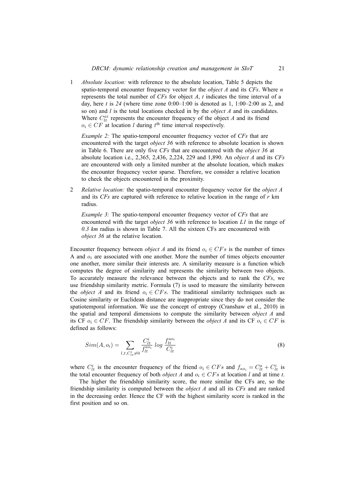1 *Absolute location:* with reference to the absolute location, Table 5 depicts the spatio-temporal encounter frequency vector for the *object A* and its *CFs*. Where *n* represents the total number of *CFs* for object *A*, *t* indicates the time interval of a day, here *t* is *24* (where time zone 0:00–1:00 is denoted as 1, 1:00–2:00 as 2, and so on) and *l* is the total locations checked in by the *object A* and its candidates. Where  $C_{lt}^{ai}$  represents the encounter frequency of the object  $A$  and its friend  $o_i \in CF$  at location *l* during  $t^{\text{th}}$  time interval respectively.

*Example 2:* The spatio-temporal encounter frequency vector of *CFs* that are encountered with the target *object 36* with reference to absolute location is shown in Table 6. There are only five *CFs* that are encountered with the *object 36* at absolute location i.e., 2,365, 2,436, 2,224, 229 and 1,890. An *object A* and its *CFs* are encountered with only a limited number at the absolute location, which makes the encounter frequency vector sparse. Therefore, we consider a relative location to check the objects encountered in the proximity.

2 *Relative location:* the spatio-temporal encounter frequency vector for the *object A* and its *CFs* are captured with reference to relative location in the range of *r* km radius.

*Example 3:* The spatio-temporal encounter frequency vector of *CFs* that are encountered with the target *object 36* with reference to location *L1* in the range of *0.3 km* radius is shown in Table 7. All the sixteen CFs are encountered with *object 36* at the relative location.

Encounter frequency between *object A* and its friend  $o_i \in CFs$  is the number of times A and  $o_i$  are associated with one another. More the number of times objects encounter one another, more similar their interests are. A similarity measure is a function which computes the degree of similarity and represents the similarity between two objects. To accurately measure the relevance between the objects and to rank the *CFs*, we use friendship similarity metric. Formula (7) is used to measure the similarity between the *object A* and its friend  $o_i \in CFs$ . The traditional similarity techniques such as Cosine similarity or Euclidean distance are inappropriate since they do not consider the spatiotemporal information. We use the concept of entropy (Cranshaw et al., 2010) in the spatial and temporal dimensions to compute the similarity between *object A* and its CF  $o_i \in CF$ . The friendship similarity between the *object A* and its CF  $o_i \in CF$  is defined as follows:

$$
Sim(A, o_i) = \sum_{l, t, C_{lt}^{i} \neq 0} \frac{C_{lt}^{i}}{f_{lt}^{ao_i}} log \frac{f_{lt}^{ao_i}}{C_{lt}^{i}}
$$
(8)

where  $C_{lt}^{i}$  is the encounter frequency of the friend  $o_i \in CFs$  and  $f_{ao_i} = C_{lt}^{a} + C_{lt}^{i}$  is the total encounter frequency of both *object A* and  $o_i \in CFs$  at location *l* and at time *t*.

The higher the friendship similarity score, the more similar the CFs are, so the friendship similarity is computed between the *object A* and all its *CFs* and are ranked in the decreasing order. Hence the CF with the highest similarity score is ranked in the first position and so on.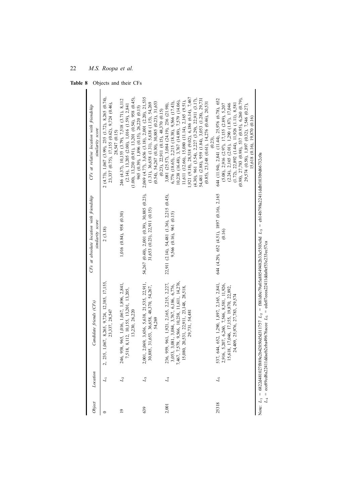**Table 8** Objects and their CFs

| Object         | Location    | Candidate friends (CFs)                                                                                                                                                                                                          | CFs at absolute location with friendship<br>similarity score                  | CFs at relative location with friendship<br>similarity score                                                                                                                                                                                                                                                                                                                                                                               |
|----------------|-------------|----------------------------------------------------------------------------------------------------------------------------------------------------------------------------------------------------------------------------------|-------------------------------------------------------------------------------|--------------------------------------------------------------------------------------------------------------------------------------------------------------------------------------------------------------------------------------------------------------------------------------------------------------------------------------------------------------------------------------------------------------------------------------------|
| 0              | $L_1$       | 2, 235, 1,067, 8,265, 9,724, 12,385, 17,155,<br>23,337, 28,547                                                                                                                                                                   | 2(3.18)                                                                       | 2 (4.73), 1,067 (3.99), 235 (1.72), 8,265 (0.74),<br>23,337 (0.75), 17,155 (0.62), 9,724 (0.46),<br>28,547 (0.15)                                                                                                                                                                                                                                                                                                                          |
| $\overline{0}$ | $L_2$       | 958, 965, 1,016, 1,067, 1,896, 2,841,<br>,518, 8,112, 10,155, 13,201, 13,205,<br>13,230, 26,220<br>246,                                                                                                                          | 1,016 (0.84), 958 (0.30)                                                      | $(1.00)$ , 13,230 $(0.91)$ , 13,201 $(0.54)$ , 958 $(0.45)$ ,<br>246 (4.37), 10,155 (3.79), 7,518 (3.71), 8,112<br>$(2.14)$ , 13,205 $(2.00)$ , 1,016 $(1.59)$ , 2,841<br>965 (0.39), 1,896 (0.15), 26,220 (0.15)                                                                                                                                                                                                                          |
| 639            | $L_3$       | 1, 2,069, 3,656, 5,638, 21,535, 22,911,<br>30,885, 31,653, 36,658, 48,370, 54,267,<br>54,269<br>2,001                                                                                                                            | 54,267 (0.48), 2,001 (0.39), 30,885 (0.23),<br>$31,653$ (0.23), 22,911 (0.15) | 2,069 (4.77), 3,656 (3.18), 2,001 (2.20), 21,535<br>$(0.54)$ , 54,267 $(0.30)$ , 30,885 $(0.23)$ , 31,653<br>$(1.31)$ , 36,658 $(1.31)$ , 5,638 $(1.15)$ , 54,269<br>$(0.23)$ , 22,911 $(0.15)$ , 48,370 $(0.15)$                                                                                                                                                                                                                          |
| 2,001          | $L_4$       | $\begin{array}{c} 236,~959,~961,~1,921,~2,165,~2,215,~2,227,\\ 3,053,~3,081,~3,084,~3,767,~6,186,~6,776,\\ 7,467,~7,579,~9,566,~10,238,~11,611,~14,276,\\ 15,080,~20,531,~22,911,~23,148,~28,518, \end{array}$<br>29,731, 54,481 | 22,911 (2.14), 54,481 (1.36), 2,215 (0.45),<br>9,566 (0.16), 961 (0.15)       | $1,921$ (9.18), 28,518 (9.02), 6,186 (6.14), 7,467<br>$(4.30)$ , 961 $(3.54)$ , 2,227 $(3.29)$ , 22,911 $(3.17)$ ,<br>54,481 (2.88), 959 (1.84), 3,053 (1.28), 29,731<br>11,611 (12.66), 15,080 (11.14), 2,165 (9.51),<br>$10,238$ (16.48), 3,767 (14.89), 7,579 (14.06),<br>6,776 (18.65), 2,215 (18.38), 9,566 (17.43),<br>$(0.85)$ , 23,148 $(0.61)$ , 14,276 $(0.46)$ , 20,531<br>3,081 (25.57), 3,084 (24.19), 236 (21.98),<br>(0.23) |
| 25318          | $L_{\rm 5}$ | 644, 652, 1,290, 1,897, 2,165, 2,841,<br>6, 5, 207, 6, 260, 7, 546, 8, 581, 11, 926,<br>15,618, 17,046, 17,155, 19,870, 22,892,<br>24,409, 25,976, 27,783, 29,574<br>537, 2,91                                                   | 644 (4.29), 652 (4.51), 1897 (0.16), 2,165<br>(0.16)                          | $(0.98)$ , 27,783 $(0.98)$ , 537 $(0.95)$ , 6,260 $(0.79)$ ,<br>644 (11.94), 2,841 (11.44), 25,976 (6.78), 652<br>$(1.72), 22,892$ $(1.44), 11,926$ $(1.11), 8,581$<br>$(5.08)$ , 2,916 $(2.97)$ , 17,155 $(2.89)$ , 5,207<br>$(2.24), 2.165 (2.01), 1.290 (1.87), 17,046$<br>29,574 (0.58), 1,897 (0.32), 7,546 (0.27),<br>$15,618$ $(0.16), 19,870$ $(0.16)$                                                                             |
|                |             | Note: $L_1 = 6822d481027f889e2b42043d311757$ $L_2 = f881d0e79a05a88549482b33a5603e8d$ $L_3 = \text{e}b14b798a22411ddbf103b9d66732c0a$                                                                                            |                                                                               |                                                                                                                                                                                                                                                                                                                                                                                                                                            |

 $L_1 = 6822$ d481027f889e2b42050d5d311757 *L*2 = f881d0e79a05a88549482b33a5503e8d  $L_3 =$  eb14b798a22411ddbf103b9d66732c0a

 $L_4$  = ece89cd8a22411ddaeb2eba49676acee  $L_5$  = ede07eeea22411dda0ef53e233ec57ca  $L_5$  = ede07eeea22411dda0ef53e233ec57ca  $L_4$  = ece89cd8a22411ddaeb2eba49676acee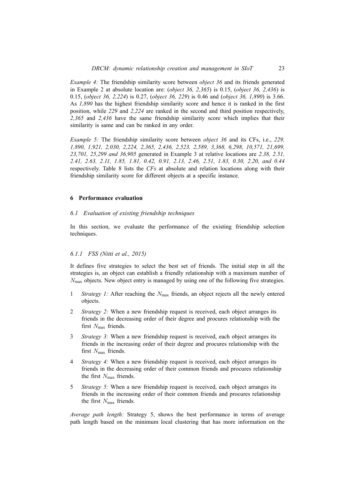*Example 4:* The friendship similarity score between *object 36* and its friends generated in Example 2 at absolute location are: (*object 36, 2,365*) is 0.15, (*object 36, 2,436*) is 0.15, (*object 36, 2,224*) is 0.27, (*object 36, 229*) is 0.46 and (*object 36, 1,890*) is 3.66. As *1,890* has the highest friendship similarity score and hence it is ranked in the first position, while *229* and *2,224* are ranked in the second and third position respectively, *2,365* and *2,436* have the same friendship similarity score which implies that their similarity is same and can be ranked in any order.

*Example 5:* The friendship similarity score between *object 36* and its CFs, i.e., *229, 1,890, 1,921, 2,030, 2,224, 2,365, 2,436, 2,523, 2,589, 3,368, 6,298, 10,571, 21,699, 23,701, 25,299 and 36,905* generated in Example 3 at relative locations are *2.38, 2.51, 2.41, 2.63, 2.11, 1.85, 1.81, 0.42, 0.91, 2.13, 2.46, 2.51, 1.83, 0.30, 2.20, and 0.44* respectively. Table 8 lists the *CFs* at absolute and relation locations along with their friendship similarity score for different objects at a specific instance.

# **6 Performance evaluation**

# *6.1 Evaluation of existing friendship techniques*

In this section, we evaluate the performance of the existing friendship selection techniques.

# *6.1.1 FSS (Nitti et al., 2015)*

It defines five strategies to select the best set of friends. The initial step in all the strategies is, an object can establish a friendly relationship with a maximum number of *N*max objects. New object entry is managed by using one of the following five strategies.

- 1 *Strategy 1:* After reaching the *N*max friends, an object rejects all the newly entered objects.
- 2 *Strategy 2:* When a new friendship request is received, each object arranges its friends in the decreasing order of their degree and procures relationship with the first *N*<sub>max</sub> friends.
- 3 *Strategy 3:* When a new friendship request is received, each object arranges its friends in the increasing order of their degree and procures relationship with the first *N*<sub>max</sub> friends.
- 4 *Strategy 4:* When a new friendship request is received, each object arranges its friends in the decreasing order of their common friends and procures relationship the first *N*<sub>max</sub> friends.
- 5 *Strategy 5:* When a new friendship request is received, each object arranges its friends in the increasing order of their common friends and procures relationship the first *N*max friends.

*Average path length:* Strategy 5, shows the best performance in terms of average path length based on the minimum local clustering that has more information on the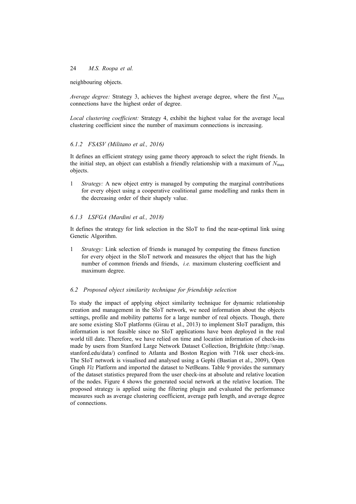neighbouring objects.

*Average degree:* Strategy 3, achieves the highest average degree, where the first *N*max connections have the highest order of degree.

*Local clustering coefficient:* Strategy 4, exhibit the highest value for the average local clustering coefficient since the number of maximum connections is increasing.

# *6.1.2 FSASV (Militano et al., 2016)*

It defines an efficient strategy using game theory approach to select the right friends. In the initial step, an object can establish a friendly relationship with a maximum of *N*max objects.

1 *Strategy:* A new object entry is managed by computing the marginal contributions for every object using a cooperative coalitional game modelling and ranks them in the decreasing order of their shapely value.

# *6.1.3 LSFGA (Mardini et al., 2018)*

It defines the strategy for link selection in the SIoT to find the near-optimal link using Genetic Algorithm.

1 *Strategy:* Link selection of friends is managed by computing the fitness function for every object in the SIoT network and measures the object that has the high number of common friends and friends, *i.e.* maximum clustering coefficient and maximum degree.

# *6.2 Proposed object similarity technique for friendship selection*

To study the impact of applying object similarity technique for dynamic relationship creation and management in the SIoT network, we need information about the objects settings, profile and mobility patterns for a large number of real objects. Though, there are some existing SIoT platforms (Girau et al., 2013) to implement SIoT paradigm, this information is not feasible since no SIoT applications have been deployed in the real world till date. Therefore, we have relied on time and location information of check-ins made by users from Stanford Large Network Dataset Collection, Brightkite (http://snap. stanford.edu/data/) confined to Atlanta and Boston Region with 716k user check-ins. The SIoT network is visualised and analysed using a Gephi (Bastian et al., 2009), Open Graph *Viz* Platform and imported the dataset to NetBeans. Table 9 provides the summary of the dataset statistics prepared from the user check-ins at absolute and relative location of the nodes. Figure 4 shows the generated social network at the relative location. The proposed strategy is applied using the filtering plugin and evaluated the performance measures such as average clustering coefficient, average path length, and average degree of connections.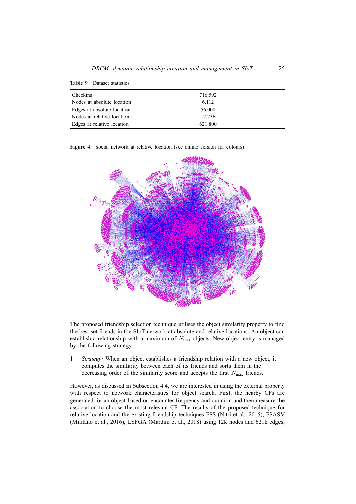| <b>Checkins</b>            | 716,592 |  |
|----------------------------|---------|--|
| Nodes at absolute location | 6,112   |  |
| Edges at absolute location | 56,008  |  |
| Nodes at relative location | 12,236  |  |
| Edges at relative location | 621,800 |  |

**Figure 4** Social network at relative location (see online version for colours)



The proposed friendship selection technique utilises the object similarity property to find the best set friends in the SIoT network at absolute and relative locations. An object can establish a relationship with a maximum of  $N_{\text{max}}$  objects. New object entry is managed by the following strategy:

1 *Strategy:* When an object establishes a friendship relation with a new object, it computes the similarity between each of its friends and sorts them in the decreasing order of the similarity score and accepts the first *N*max friends.

However, as discussed in Subsection 4.4, we are interested in using the external property with respect to network characteristics for object search. First, the nearby CFs are generated for an object based on encounter frequency and duration and then measure the association to choose the most relevant CF. The results of the proposed technique for relative location and the existing friendship techniques FSS (Nitti et al., 2015), FSASV (Militano et al., 2016), LSFGA (Mardini et al., 2018) using 12k nodes and 621k edges,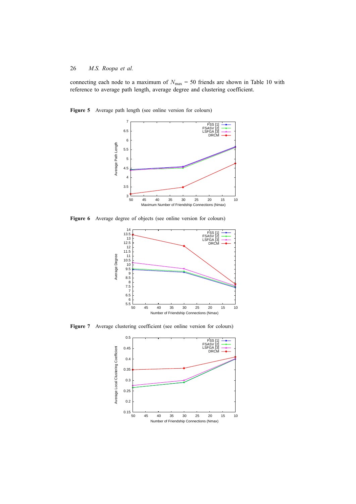connecting each node to a maximum of  $N_{\text{max}} = 50$  friends are shown in Table 10 with reference to average path length, average degree and clustering coefficient.

**Figure 5** Average path length (see online version for colours)



**Figure 6** Average degree of objects (see online version for colours)



Figure 7 Average clustering coefficient (see online version for colours)

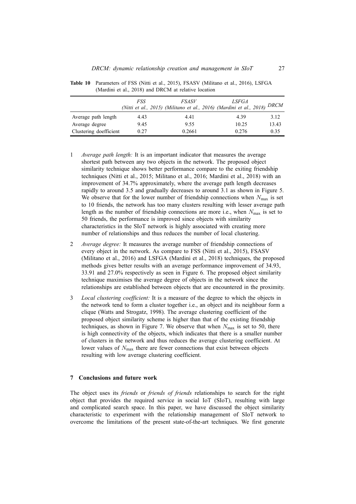|                        | FSS  | <i>FSASV</i><br>(Nitti et al., 2015) (Militano et al., 2016) (Mardini et al., 2018) | <i>LSFGA</i> | <i>DRCM</i> |
|------------------------|------|-------------------------------------------------------------------------------------|--------------|-------------|
| Average path length    | 4.43 | 4.41                                                                                | 4.39         | 3.12        |
| Average degree         | 9.45 | 9.55                                                                                | 10.25        | 13.43       |
| Clustering doefficient | 0.27 | 0.2661                                                                              | 0.276        | 0.35        |

**Table 10** Parameters of FSS (Nitti et al., 2015), FSASV (Militano et al., 2016), LSFGA (Mardini et al., 2018) and DRCM at relative location

- 1 *Average path length:* It is an important indicator that measures the average shortest path between any two objects in the network. The proposed object similarity technique shows better performance compare to the exiting friendship techniques (Nitti et al., 2015; Militano et al., 2016; Mardini et al., 2018) with an improvement of 34.7% approximately, where the average path length decreases rapidly to around 3.5 and gradually decreases to around 3.1 as shown in Figure 5. We observe that for the lower number of friendship connections when  $N_{\text{max}}$  is set to 10 friends, the network has too many clusters resulting with lesser average path length as the number of friendship connections are more i.e., when *N*max is set to 50 friends, the performance is improved since objects with similarity characteristics in the SIoT network is highly associated with creating more number of relationships and thus reduces the number of local clustering.
- 2 *Average degree:* It measures the average number of friendship connections of every object in the network. As compare to FSS (Nitti et al., 2015), FSASV (Militano et al., 2016) and LSFGA (Mardini et al., 2018) techniques, the proposed methods gives better results with an average performance improvement of 34.93, 33.91 and 27.0% respectively as seen in Figure 6. The proposed object similarity technique maximises the average degree of objects in the network since the relationships are established between objects that are encountered in the proximity.
- 3 *Local clustering coefficient:* It is a measure of the degree to which the objects in the network tend to form a cluster together i.e., an object and its neighbour form a clique (Watts and Strogatz, 1998). The average clustering coefficient of the proposed object similarity scheme is higher than that of the existing friendship techniques, as shown in Figure 7. We observe that when  $N_{\text{max}}$  is set to 50, there is high connectivity of the objects, which indicates that there is a smaller number of clusters in the network and thus reduces the average clustering coefficient. At lower values of  $N_{\text{max}}$  there are fewer connections that exist between objects resulting with low average clustering coefficient.

#### **7 Conclusions and future work**

The object uses its *friends* or *friends of friends* relationships to search for the right object that provides the required service in social IoT (SIoT), resulting with large and complicated search space. In this paper, we have discussed the object similarity characteristic to experiment with the relationship management of SIoT network to overcome the limitations of the present state-of-the-art techniques. We first generate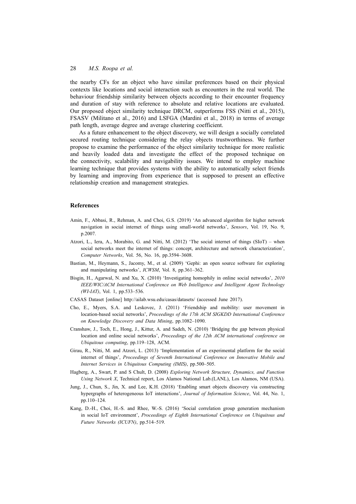the nearby CFs for an object who have similar preferences based on their physical contexts like locations and social interaction such as encounters in the real world. The behaviour friendship similarity between objects according to their encounter frequency and duration of stay with reference to absolute and relative locations are evaluated. Our proposed object similarity technique DRCM, outperforms FSS (Nitti et al., 2015), FSASV (Militano et al., 2016) and LSFGA (Mardini et al., 2018) in terms of average path length, average degree and average clustering coefficient.

As a future enhancement to the object discovery, we will design a socially correlated secured routing technique considering the relay objects trustworthiness. We further propose to examine the performance of the object similarity technique for more realistic and heavily loaded data and investigate the effect of the proposed technique on the connectivity, scalability and navigability issues. We intend to employ machine learning technique that provides systems with the ability to automatically select friends by learning and improving from experience that is supposed to present an effective relationship creation and management strategies.

## **References**

- Amin, F., Abbasi, R., Rehman, A. and Choi, G.S. (2019) 'An advanced algorithm for higher network navigation in social internet of things using small-world networks', *Sensors*, Vol. 19, No. 9, p.2007.
- Atzori, L., Iera, A., Morabito, G. and Nitti, M. (2012) 'The social internet of things (SIoT) when social networks meet the internet of things: concept, architecture and network characterization', *Computer Networks*, Vol. 56, No. 16, pp.3594–3608.
- Bastian, M., Heymann, S., Jacomy, M., et al. (2009) 'Gephi: an open source software for exploring and manipulating networks', *ICWSM*, Vol. 8, pp.361–362.
- Bisgin, H., Agarwal, N. and Xu, X. (2010) 'Investigating homophily in online social networks', *2010 IEEE/WIC/ACM International Conference on Web Intelligence and Intelligent Agent Technology (WI-IAT)*, Vol. 1, pp.533–536.
- CASAS Dataset [online] http://ailab.wsu.edu/casas/datasets/ (accessed June 2017).
- Cho, E., Myers, S.A. and Leskovec, J. (2011) 'Friendship and mobility: user movement in location-based social networks', *Proceedings of the 17th ACM SIGKDD International Conference on Knowledge Discovery and Data Mining*, pp.1082–1090.
- Cranshaw, J., Toch, E., Hong, J., Kittur, A. and Sadeh, N. (2010) 'Bridging the gap between physical location and online social networks', *Proceedings of the 12th ACM international conference on Ubiquitous computing*, pp.119–128, ACM.
- Girau, R., Nitti, M. and Atzori, L. (2013) 'Implementation of an experimental platform for the social internet of things', *Proceedings of Seventh International Conference on Innovative Mobile and Internet Services in Ubiquitous Computing (IMIS)*, pp.500–505.
- Hagberg, A., Swart, P. and S Chult, D. (2008) *Exploring Network Structure, Dynamics, and Function Using Network X*, Technical report, Los Alamos National Lab.(LANL), Los Alamos, NM (USA).
- Jung, J., Chun, S., Jin, X. and Lee, K.H. (2018) 'Enabling smart objects discovery via constructing hypergraphs of heterogeneous IoT interactions', *Journal of Information Science*, Vol. 44, No. 1, pp.110–124.
- Kang, D.-H., Choi, H.-S. and Rhee, W.-S. (2016) 'Social correlation group generation mechanism in social IoT environment', *Proceedings of Eighth International Conference on Ubiquitous and Future Networks (ICUFN)*, pp.514–519.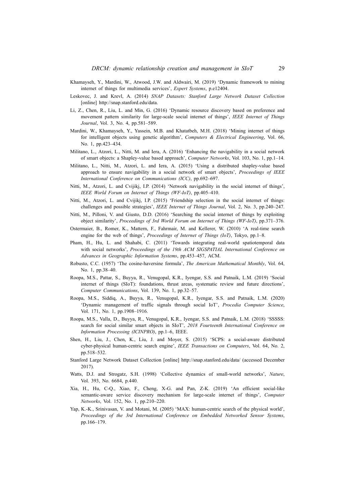- Khamayseh, Y., Mardini, W., Atwood, J.W. and Aldwairi, M. (2019) 'Dynamic framework to mining internet of things for multimedia services', *Expert Systems*, p.e12404.
- Leskovec, J. and Krevl, A. (2014) *SNAP Datasets: Stanford Large Network Dataset Collection* [online] http://snap.stanford.edu/data.
- Li, Z., Chen, R., Liu, L. and Min, G. (2016) 'Dynamic resource discovery based on preference and movement pattern similarity for large-scale social internet of things', *IEEE Internet of Things Journal*, Vol. 3, No. 4, pp.581–589.
- Mardini, W., Khamayseh, Y., Yassein, M.B. and Khatatbeh, M.H. (2018) 'Mining internet of things for intelligent objects using genetic algorithm', *Computers & Electrical Engineering*, Vol. 66, No. 1, pp.423–434.
- Militano, L., Atzori, L., Nitti, M. and Iera, A. (2016) 'Enhancing the navigability in a social network of smart objects: a Shapley-value based approach', *Computer Networks*, Vol. 103, No. 1, pp.1–14.
- Militano, L., Nitti, M., Atzori, L. and Iera, A. (2015) 'Using a distributed shapley-value based approach to ensure navigability in a social network of smart objects', *Proceedings of IEEE International Conference on Communications (ICC)*, pp.692–697.
- Nitti, M., Atzori, L. and Cvijikj, I.P. (2014) 'Network navigability in the social internet of things', *IEEE World Forum on Internet of Things (WF-IoT)*, pp.405–410.
- Nitti, M., Atzori, L. and Cvijikj, I.P. (2015) 'Friendship selection in the social internet of things: challenges and possible strategies', *IEEE Internet of Things Journal*, Vol. 2, No. 3, pp.240–247.
- Nitti, M., Pilloni, V. and Giusto, D.D. (2016) 'Searching the social internet of things by exploiting object similarity', *Proceedings of 3rd World Forum on Internet of Things (WF-IoT)*, pp.371–376.
- Ostermaier, B., Romer, K., Mattern, F., Fahrmair, M. and Kellerer, W. (2010) 'A real-time search engine for the web of things', *Proceedings of Internet of Things (IoT)*, Tokyo, pp.1–8.
- Pham, H., Hu, L. and Shahabi, C. (2011) 'Towards integrating real-world spatiotemporal data with social networks', *Proceedings of the 19th ACM SIGSPATIAL International Conference on Advances in Geographic Information Systems*, pp.453–457, ACM.
- Robusto, C.C. (1957) 'The cosine-haversine formula', *The American Mathematical Monthly*, Vol. 64, No. 1, pp.38–40.
- Roopa, M.S., Pattar, S., Buyya, R., Venugopal, K.R., Iyengar, S.S. and Patnaik, L.M. (2019) 'Social internet of things (SIoT): foundations, thrust areas, systematic review and future directions', *Computer Communications*, Vol. 139, No. 1, pp.32–57.
- Roopa, M.S., Siddiq, A., Buyya, R., Venugopal, K.R., Iyengar, S.S. and Patnaik, L.M. (2020) 'Dynamic management of traffic signals through social IoT', *Procedia Computer Science*, Vol. 171, No. 1, pp.1908–1916.
- Roopa, M.S., Valla, D., Buyya, R., Venugopal, K.R., Iyengar, S.S. and Patnaik, L.M. (2018) 'SSSSS: search for social similar smart objects in SIoT', *2018 Fourteenth International Conference on Information Processing (ICINPRO)*, pp.1–6, IEEE.
- Shen, H., Liu, J., Chen, K., Liu, J. and Moyer, S. (2015) 'SCPS: a social-aware distributed cyber-physical human-centric search engine', *IEEE Transactions on Computers*, Vol. 64, No. 2, pp.518–532.
- Stanford Large Network Dataset Collection [online] http://snap.stanford.edu/data/ (accessed December 2017).
- Watts, D.J. and Strogatz, S.H. (1998) 'Collective dynamics of small-world networks', *Nature*, Vol. 393, No. 6684, p.440.
- Xia, H., Hu, C-Q., Xiao, F., Cheng, X-G. and Pan, Z-K. (2019) 'An efficient social-like semantic-aware service discovery mechanism for large-scale internet of things', *Computer Networks*, Vol. 152, No. 1, pp.210–220.
- Yap, K.-K., Srinivasan, V. and Motani, M. (2005) 'MAX: human-centric search of the physical world', *Proceedings of the 3rd International Conference on Embedded Networked Sensor Systems*, pp.166–179.